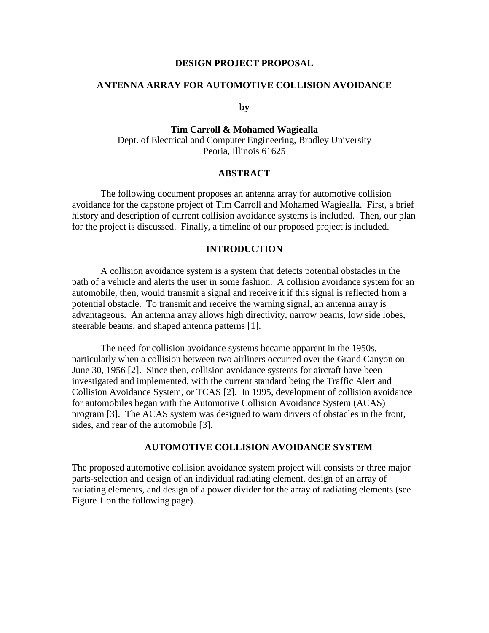#### **DESIGN PROJECT PROPOSAL**

### **ANTENNA ARRAY FOR AUTOMOTIVE COLLISION AVOIDANCE**

#### **by**

# **Tim Carroll & Mohamed Wagiealla**  Dept. of Electrical and Computer Engineering, Bradley University Peoria, Illinois 61625

#### **ABSTRACT**

The following document proposes an antenna array for automotive collision avoidance for the capstone project of Tim Carroll and Mohamed Wagiealla. First, a brief history and description of current collision avoidance systems is included. Then, our plan for the project is discussed. Finally, a timeline of our proposed project is included.

#### **INTRODUCTION**

A collision avoidance system is a system that detects potential obstacles in the path of a vehicle and alerts the user in some fashion. A collision avoidance system for an automobile, then, would transmit a signal and receive it if this signal is reflected from a potential obstacle. To transmit and receive the warning signal, an antenna array is advantageous. An antenna array allows high directivity, narrow beams, low side lobes, steerable beams, and shaped antenna patterns [1].

The need for collision avoidance systems became apparent in the 1950s, particularly when a collision between two airliners occurred over the Grand Canyon on June 30, 1956 [2]. Since then, collision avoidance systems for aircraft have been investigated and implemented, with the current standard being the Traffic Alert and Collision Avoidance System, or TCAS [2]. In 1995, development of collision avoidance for automobiles began with the Automotive Collision Avoidance System (ACAS) program [3]. The ACAS system was designed to warn drivers of obstacles in the front, sides, and rear of the automobile [3].

#### **AUTOMOTIVE COLLISION AVOIDANCE SYSTEM**

The proposed automotive collision avoidance system project will consists or three major parts-selection and design of an individual radiating element, design of an array of radiating elements, and design of a power divider for the array of radiating elements (see Figure 1 on the following page).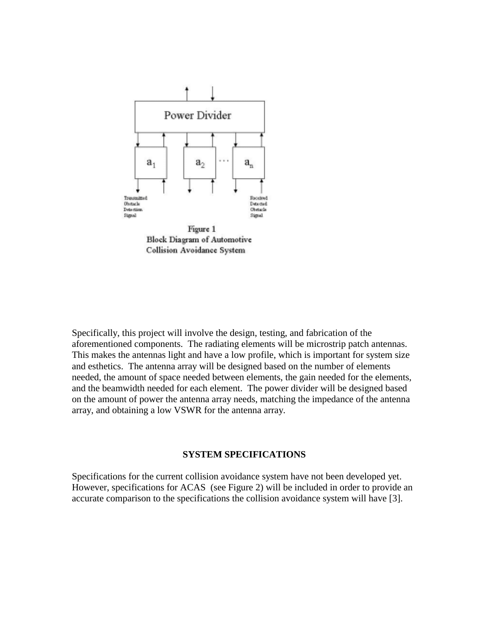

**Block Diagram of Automotive** Collision Avoidance System

Specifically, this project will involve the design, testing, and fabrication of the aforementioned components. The radiating elements will be microstrip patch antennas. This makes the antennas light and have a low profile, which is important for system size and esthetics. The antenna array will be designed based on the number of elements needed, the amount of space needed between elements, the gain needed for the elements, and the beamwidth needed for each element. The power divider will be designed based on the amount of power the antenna array needs, matching the impedance of the antenna array, and obtaining a low VSWR for the antenna array.

#### **SYSTEM SPECIFICATIONS**

Specifications for the current collision avoidance system have not been developed yet. However, specifications for ACAS (see Figure 2) will be included in order to provide an accurate comparison to the specifications the collision avoidance system will have [3].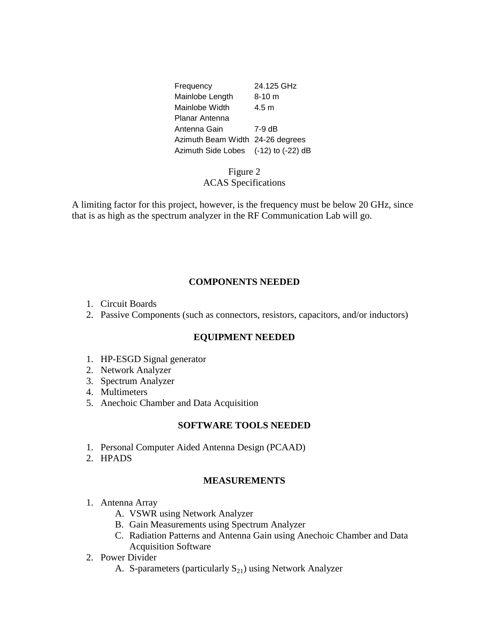| Frequency                            | 24.125 GHz |
|--------------------------------------|------------|
| Mainlobe Length                      | $8 - 10$ m |
| Mainlobe Width                       | 4.5 m      |
| Planar Antenna                       |            |
| Antenna Gain                         | 7-9 dB     |
| Azimuth Beam Width 24-26 degrees     |            |
| Azimuth Side Lobes (-12) to (-22) dB |            |

# Figure 2 ACAS Specifications

A limiting factor for this project, however, is the frequency must be below 20 GHz, since that is as high as the spectrum analyzer in the RF Communication Lab will go.

# **COMPONENTS NEEDED**

- 1. Circuit Boards
- 2. Passive Components (such as connectors, resistors, capacitors, and/or inductors)

### **EQUIPMENT NEEDED**

- 1. HP-ESGD Signal generator
- 2. Network Analyzer
- 3. Spectrum Analyzer
- 4. Multimeters
- 5. Anechoic Chamber and Data Acquisition

### **SOFTWARE TOOLS NEEDED**

- 1. Personal Computer Aided Antenna Design (PCAAD)
- 2. HPADS

### **MEASUREMENTS**

- 1. Antenna Array
	- A. VSWR using Network Analyzer
	- B. Gain Measurements using Spectrum Analyzer
	- C. Radiation Patterns and Antenna Gain using Anechoic Chamber and Data Acquisition Software
- 2. Power Divider
	- A. S-parameters (particularly  $S_{21}$ ) using Network Analyzer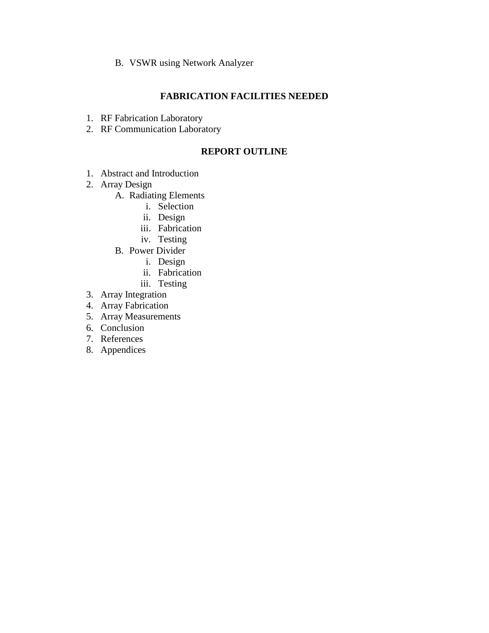B. VSWR using Network Analyzer

# **FABRICATION FACILITIES NEEDED**

- 1. RF Fabrication Laboratory
- 2. RF Communication Laboratory

# **REPORT OUTLINE**

- 1. Abstract and Introduction
- 2. Array Design
	- A. Radiating Elements
		- i. Selection
		- ii. Design
		- iii. Fabrication
		- iv. Testing
	- B. Power Divider
		- i. Design
		- ii. Fabrication
		- iii. Testing
- 3. Array Integration
- 4. Array Fabrication
- 5. Array Measurements
- 6. Conclusion
- 7. References
- 8. Appendices